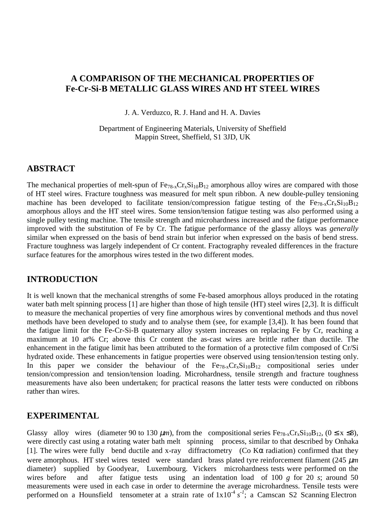# **A COMPARISON OF THE MECHANICAL PROPERTIES OF Fe-Cr-Si-B METALLIC GLASS WIRES AND HT STEEL WIRES**

J. A. Verduzco, R. J. Hand and H. A. Davies

Department of Engineering Materials, University of Sheffield Mappin Street, Sheffield, S1 3JD, UK

### **ABSTRACT**

The mechanical properties of melt-spun of  $Fe_{78-x}Cr_xSi_{10}B_{12}$  amorphous alloy wires are compared with those of HT steel wires. Fracture toughness was measured for melt spun ribbon. A new double-pulley tensioning machine has been developed to facilitate tension/compression fatigue testing of the  $Fe_{78-x}Cr_xSi_{10}B_{12}$ amorphous alloys and the HT steel wires. Some tension/tension fatigue testing was also performed using a single pulley testing machine. The tensile strength and microhardness increased and the fatigue performance improved with the substitution of Fe by Cr. The fatigue performance of the glassy alloys was *generally* similar when expressed on the basis of bend strain but inferior when expressed on the basis of bend stress. Fracture toughness was largely independent of Cr content. Fractography revealed differences in the fracture surface features for the amorphous wires tested in the two different modes.

### **INTRODUCTION**

It is well known that the mechanical strengths of some Fe-based amorphous alloys produced in the rotating water bath melt spinning process [1] are higher than those of high tensile (HT) steel wires [2,3]. It is difficult to measure the mechanical properties of very fine amorphous wires by conventional methods and thus novel methods have been developed to study and to analyse them (see, for example [3,4]). It has been found that the fatigue limit for the Fe-Cr-Si-B quaternary alloy system increases on replacing Fe by Cr, reaching a maximum at 10 at% Cr; above this Cr content the as-cast wires are brittle rather than ductile. The enhancement in the fatigue limit has been attributed to the formation of a protective film composed of Cr/Si hydrated oxide. These enhancements in fatigue properties were observed using tension/tension testing only. In this paper we consider the behaviour of the  $Fe_{78-x}Cr_xSi_{10}B_{12}$  compositional series under tension/compression and tension/tension loading. Microhardness, tensile strength and fracture toughness measurements have also been undertaken; for practical reasons the latter tests were conducted on ribbons rather than wires.

# **EXPERIMENTAL**

Glassy alloy wires (diameter 90 to 130  $\mu$ m), from the compositional series Fe<sub>78-x</sub>Cr<sub>x</sub>Si<sub>10</sub>B<sub>12</sub>, (0 ≤ x ≤8), were directly cast using a rotating water bath melt spinning process, similar to that described by Onhaka [1]. The wires were fully bend ductile and x-ray diffractometry (Co K $\alpha$  radiation) confirmed that they were amorphous. HT steel wires tested were standard brass plated tyre reinforcement filament (245 µ*m* diameter) supplied by Goodyear, Luxembourg. Vickers microhardness tests were performed on the wires before and after fatigue tests using an indentation load of 100 *g* for 20 *s*; around 50 measurements were used in each case in order to determine the average microhardness. Tensile tests were performed on a Hounsfield tensometer at a strain rate of  $1x10^{-4} s^{-1}$ ; a Camscan S2 Scanning Electron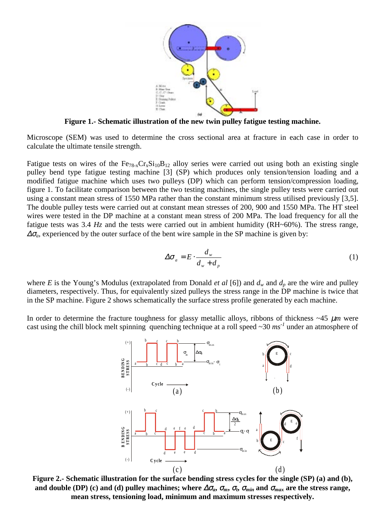

**Figure 1.- Schematic illustration of the new twin pulley fatigue testing machine.**

Microscope (SEM) was used to determine the cross sectional area at fracture in each case in order to calculate the ultimate tensile strength.

Fatigue tests on wires of the  $Fe_{78-x}Cr_xSi_{10}B_{12}$  alloy series were carried out using both an existing single pulley bend type fatigue testing machine [3] (SP) which produces only tension/tension loading and a modified fatigue machine which uses two pulleys (DP) which can perform tension/compression loading, figure 1. To facilitate comparison between the two testing machines, the single pulley tests were carried out using a constant mean stress of 1550 MPa rather than the constant minimum stress utilised previously [3,5]. The double pulley tests were carried out at constant mean stresses of 200, 900 and 1550 MPa. The HT steel wires were tested in the DP machine at a constant mean stress of 200 MPa. The load frequency for all the fatigue tests was 3.4 *Hz* and the tests were carried out in ambient humidity (RH~60%). The stress range,  $\Delta\sigma_a$ , experienced by the outer surface of the bent wire sample in the SP machine is given by:

$$
\Delta \sigma_a = E \cdot \frac{d_w}{d_w + d_p} \tag{1}
$$

where *E* is the Young's Modulus (extrapolated from Donald *et al* [6]) and  $d_w$  and  $d_p$  are the wire and pulley diameters, respectively. Thus, for equivalently sized pulleys the stress range in the DP machine is twice that in the SP machine. Figure 2 shows schematically the surface stress profile generated by each machine.

In order to determine the fracture toughness for glassy metallic alloys, ribbons of thickness  $\sim$ 45  $\mu$ *m* were cast using the chill block melt spinning quenching technique at a roll speed ~30  $ms^{-1}$  under an atmosphere of



**Figure 2.- Schematic illustration for the surface bending stress cycles for the single (SP) (a) and (b), and double (DP) (c) and (d) pulley machines; where**  $\Delta\sigma_a$ **,**  $\sigma_m$ **,**  $\sigma_t$ **,**  $\sigma_m$ **, and**  $\sigma_{max}$  **are the stress range, mean stress, tensioning load, minimum and maximum stresses respectively.**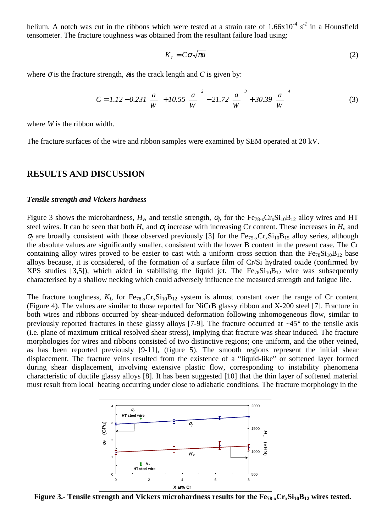helium. A notch was cut in the ribbons which were tested at a strain rate of  $1.66x10^{-4} s^{-1}$  in a Hounsfield tensometer. The fracture toughness was obtained from the resultant failure load using:

$$
K_I = C\sigma\sqrt{\pi a} \tag{2}
$$

where  $\sigma$  is the fracture strength, and c is given by:

$$
C = 1.12 - 0.23I\left(\frac{a}{W}\right) + 10.55\left(\frac{a}{W}\right)^2 - 21.72\left(\frac{a}{W}\right)^3 + 30.39\left(\frac{a}{W}\right)^4
$$
 (3)

where *W* is the ribbon width.

The fracture surfaces of the wire and ribbon samples were examined by SEM operated at 20 kV.

### **RESULTS AND DISCUSSION**

#### *Tensile strength and Vickers hardness*

Figure 3 shows the microhardness,  $H_v$ , and tensile strength,  $\sigma_f$ , for the Fe<sub>78-x</sub>Cr<sub>x</sub>Si<sub>10</sub>B<sub>12</sub> alloy wires and HT steel wires. It can be seen that both  $H_v$  and  $\sigma_f$  increase with increasing Cr content. These increases in  $H_v$  and  $\sigma_f$  are broadly consistent with those observed previously [3] for the Fe<sub>75-x</sub>Cr<sub>x</sub>Si<sub>10</sub>B<sub>15</sub> alloy series, although the absolute values are significantly smaller, consistent with the lower B content in the present case. The Cr containing alloy wires proved to be easier to cast with a uniform cross section than the  $Fe_{78}Si_{10}B_{12}$  base alloys because, it is considered, of the formation of a surface film of Cr/Si hydrated oxide (confirmed by XPS studies [3,5]), which aided in stabilising the liquid jet. The  $Fe_{78}Si_{10}B_{12}$  wire was subsequently characterised by a shallow necking which could adversely influence the measured strength and fatigue life.

The fracture toughness,  $K_I$ , for  $Fe_{78-x}Cr_xSi_{10}B_{12}$  system is almost constant over the range of Cr content (Figure 4). The values are similar to those reported for NiCrB glassy ribbon and X-200 steel [7]. Fracture in both wires and ribbons occurred by shear-induced deformation following inhomogeneous flow, similar to previously reported fractures in these glassy alloys [7-9]. The fracture occurred at  $\sim$ 45° to the tensile axis (i.e. plane of maximum critical resolved shear stress), implying that fracture was shear induced. The fracture morphologies for wires and ribbons consisted of two distinctive regions; one uniform, and the other veined, as has been reported previously [9-11], (figure 5). The smooth regions represent the initial shear displacement. The fracture veins resulted from the existence of a "liquid-like" or softened layer formed during shear displacement, involving extensive plastic flow, corresponding to instability phenomena characteristic of ductile glassy alloys [8]. It has been suggested [10] that the thin layer of softened material must result from local heating occurring under close to adiabatic conditions. The fracture morphology in the



Figure 3.- Tensile strength and Vickers microhardness results for the Fe<sub>78-x</sub>Cr<sub>x</sub>Si<sub>10</sub>B<sub>12</sub> wires tested.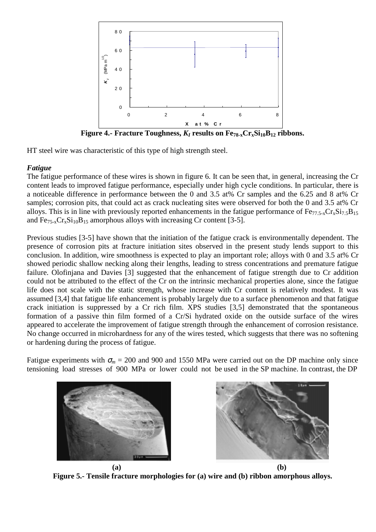

Figure 4.- Fracture Toughness,  $K_I$  results on  $Fe_{78-x}Cr_xSi_{10}B_{12}$  ribbons.

HT steel wire was characteristic of this type of high strength steel.

### *Fatigue*

The fatigue performance of these wires is shown in figure 6. It can be seen that, in general, increasing the Cr content leads to improved fatigue performance, especially under high cycle conditions. In particular, there is a noticeable difference in performance between the 0 and 3.5 at% Cr samples and the 6.25 and 8 at% Cr samples; corrosion pits, that could act as crack nucleating sites were observed for both the 0 and 3.5 at% Cr alloys. This is in line with previously reported enhancements in the fatigue performance of  $Fe_{77.5-x}Cr_xSi_{7.5}B_{15}$ and  $Fe_{75-x}Cr_xSi_{10}B_{15}$  amorphous alloys with increasing Cr content [3-5].

Previous studies [3-5] have shown that the initiation of the fatigue crack is environmentally dependent. The presence of corrosion pits at fracture initiation sites observed in the present study lends support to this conclusion. In addition, wire smoothness is expected to play an important role; alloys with 0 and 3.5 at% Cr showed periodic shallow necking along their lengths, leading to stress concentrations and premature fatigue failure. Olofinjana and Davies [3] suggested that the enhancement of fatigue strength due to Cr addition could not be attributed to the effect of the Cr on the intrinsic mechanical properties alone, since the fatigue life does not scale with the static strength, whose increase with Cr content is relatively modest. It was assumed [3,4] that fatigue life enhancement is probably largely due to a surface phenomenon and that fatigue crack initiation is suppressed by a Cr rich film. XPS studies [3,5] demonstrated that the spontaneous formation of a passive thin film formed of a Cr/Si hydrated oxide on the outside surface of the wires appeared to accelerate the improvement of fatigue strength through the enhancement of corrosion resistance. No change occurred in microhardness for any of the wires tested, which suggests that there was no softening or hardening during the process of fatigue.

Fatigue experiments with  $\sigma_m$  = 200 and 900 and 1550 MPa were carried out on the DP machine only since tensioning load stresses of 900 MPa or lower could not be used in the SP machine. In contrast, the DP





 **(a) (b) Figure 5.- Tensile fracture morphologies for (a) wire and (b) ribbon amorphous alloys.**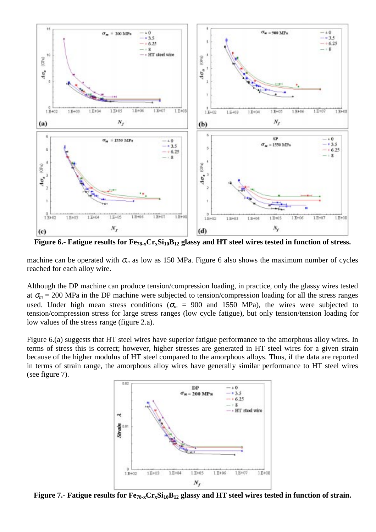

machine can be operated with  $\sigma_m$  as low as 150 MPa. Figure 6 also shows the maximum number of cycles reached for each alloy wire.

Although the DP machine can produce tension/compression loading, in practice, only the glassy wires tested at  $\sigma_m$  = 200 MPa in the DP machine were subjected to tension/compression loading for all the stress ranges used. Under high mean stress conditions  $\sigma_m = 900$  and 1550 MPa), the wires were subjected to tension/compression stress for large stress ranges (low cycle fatigue), but only tension/tension loading for low values of the stress range (figure 2.a).

Figure 6.(a) suggests that HT steel wires have superior fatigue performance to the amorphous alloy wires. In terms of stress this is correct; however, higher stresses are generated in HT steel wires for a given strain because of the higher modulus of HT steel compared to the amorphous alloys. Thus, if the data are reported in terms of strain range, the amorphous alloy wires have generally similar performance to HT steel wires (see figure 7).



Figure 7.- Fatigue results for  $Fe_{78-x}Cr_xSi_{10}B_{12}$  glassy and HT steel wires tested in function of strain.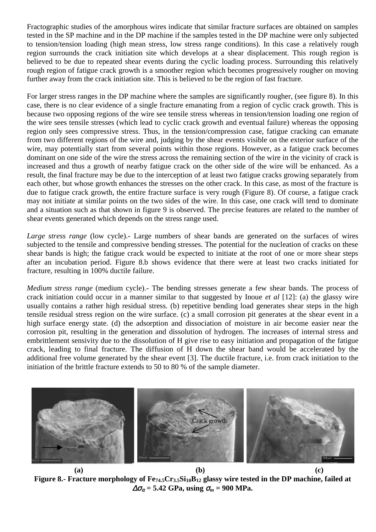Fractographic studies of the amorphous wires indicate that similar fracture surfaces are obtained on samples tested in the SP machine and in the DP machine if the samples tested in the DP machine were only subjected to tension/tension loading (high mean stress, low stress range conditions). In this case a relatively rough region surrounds the crack initiation site which develops at a shear displacement. This rough region is believed to be due to repeated shear events during the cyclic loading process. Surrounding this relatively rough region of fatigue crack growth is a smoother region which becomes progressively rougher on moving further away from the crack initiation site. This is believed to be the region of fast fracture.

For larger stress ranges in the DP machine where the samples are significantly rougher, (see figure 8). In this case, there is no clear evidence of a single fracture emanating from a region of cyclic crack growth. This is because two opposing regions of the wire see tensile stress whereas in tension/tension loading one region of the wire sees tensile stresses (which lead to cyclic crack growth and eventual failure) whereas the opposing region only sees compressive stress. Thus, in the tension/compression case, fatigue cracking can emanate from two different regions of the wire and, judging by the shear events visible on the exterior surface of the wire, may potentially start from several points within those regions. However, as a fatigue crack becomes dominant on one side of the wire the stress across the remaining section of the wire in the vicinity of crack is increased and thus a growth of nearby fatigue crack on the other side of the wire will be enhanced. As a result, the final fracture may be due to the interception of at least two fatigue cracks growing separately from each other, but whose growth enhances the stresses on the other crack. In this case, as most of the fracture is due to fatigue crack growth, the entire fracture surface is very rough (Figure 8). Of course, a fatigue crack may not initiate at similar points on the two sides of the wire. In this case, one crack will tend to dominate and a situation such as that shown in figure 9 is observed. The precise features are related to the number of shear events generated which depends on the stress range used.

*Large stress range* (low cycle).- Large numbers of shear bands are generated on the surfaces of wires subjected to the tensile and compressive bending stresses. The potential for the nucleation of cracks on these shear bands is high; the fatigue crack would be expected to initiate at the root of one or more shear steps after an incubation period. Figure 8.b shows evidence that there were at least two cracks initiated for fracture, resulting in 100% ductile failure.

*Medium stress range* (medium cycle).- The bending stresses generate a few shear bands. The process of crack initiation could occur in a manner similar to that suggested by Inoue *et al* [12]: (a) the glassy wire usually contains a rather high residual stress. (b) repetitive bending load generates shear steps in the high tensile residual stress region on the wire surface. (c) a small corrosion pit generates at the shear event in a high surface energy state. (d) the adsorption and dissociation of moisture in air become easier near the corrosion pit, resulting in the generation and dissolution of hydrogen. The increases of internal stress and embrittlement sensivity due to the dissolution of H give rise to easy initiation and propagation of the fatigue crack, leading to final fracture. The diffusion of H down the shear band would be accelerated by the additional free volume generated by the shear event [3]. The ductile fracture, i.e. from crack initiation to the initiation of the brittle fracture extends to 50 to 80 % of the sample diameter.



Figure 8.- Fracture morphology of Fe<sub>74.5</sub>Cr<sub>3.5</sub>Si<sub>10</sub>B<sub>12</sub> glassy wire tested in the DP machine, failed at  $\Delta\sigma_{\alpha}$  = 5.42 GPa, using  $\sigma_{m}$  = 900 MPa.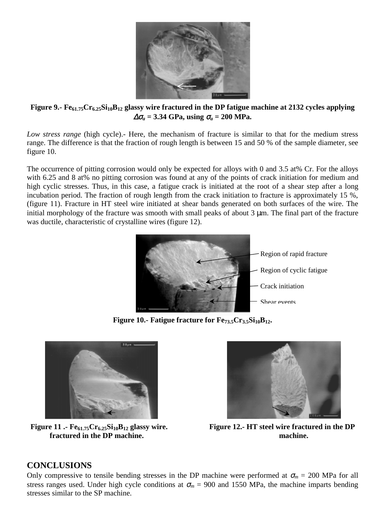

Figure 9.- Fe<sub>61.75</sub>Cr<sub>6.25</sub>Si<sub>10</sub>B<sub>12</sub> glassy wire fractured in the DP fatigue machine at 2132 cycles applying  $\Delta\sigma_a = 3.34$  GPa, using  $\sigma_a = 200$  MPa.

*Low stress range* (high cycle).- Here, the mechanism of fracture is similar to that for the medium stress range. The difference is that the fraction of rough length is between 15 and 50 % of the sample diameter, see figure 10.

The occurrence of pitting corrosion would only be expected for alloys with 0 and 3.5 at% Cr. For the alloys with 6.25 and 8 at% no pitting corrosion was found at any of the points of crack initiation for medium and high cyclic stresses. Thus, in this case, a fatigue crack is initiated at the root of a shear step after a long incubation period. The fraction of rough length from the crack initiation to fracture is approximately 15 %, (figure 11). Fracture in HT steel wire initiated at shear bands generated on both surfaces of the wire. The initial morphology of the fracture was smooth with small peaks of about 3 µm. The final part of the fracture was ductile, characteristic of crystalline wires (figure 12).



Figure 10.- Fatigue fracture for Fe<sub>73.5</sub>Cr<sub>3.5</sub>Si<sub>10</sub>B<sub>12</sub>.



**fractured in the DP machine.** machine.



Figure 11 .- Fe<sub>61.75</sub>Cr<sub>6.25</sub>Si<sub>10</sub>B<sub>12</sub> glassy wire. Figure 12.- HT steel wire fractured in the DP

# **CONCLUSIONS**

Only compressive to tensile bending stresses in the DP machine were performed at  $\sigma_m = 200$  MPa for all stress ranges used. Under high cycle conditions at  $\sigma_m$  = 900 and 1550 MPa, the machine imparts bending stresses similar to the SP machine.